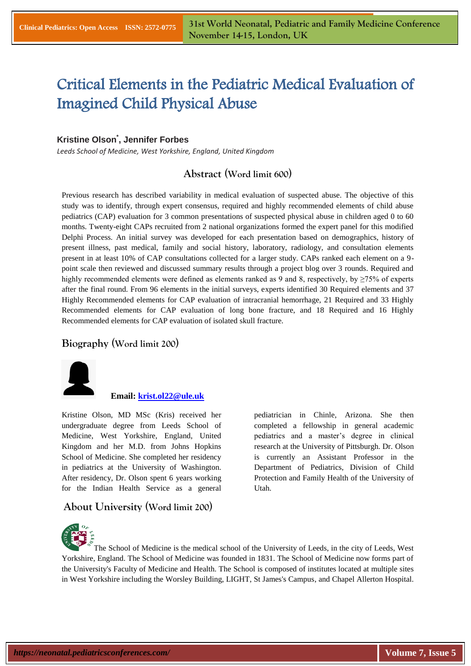# Critical Elements in the Pediatric Medical Evaluation of Imagined Child Physical Abuse

# **Kristine Olson\* , Jennifer Forbes**

*Leeds School of Medicine, West Yorkshire, England, United Kingdom*

# **Abstract (Word limit 600)**

Previous research has described variability in medical evaluation of suspected abuse. The objective of this study was to identify, through expert consensus, required and highly recommended elements of child abuse pediatrics (CAP) evaluation for 3 common presentations of suspected physical abuse in children aged 0 to 60 months. Twenty-eight CAPs recruited from 2 national organizations formed the expert panel for this modified Delphi Process. An initial survey was developed for each presentation based on demographics, history of present illness, past medical, family and social history, laboratory, radiology, and consultation elements present in at least 10% of CAP consultations collected for a larger study. CAPs ranked each element on a 9 point scale then reviewed and discussed summary results through a project blog over 3 rounds. Required and highly recommended elements were defined as elements ranked as 9 and 8, respectively, by  $\geq$ 75% of experts after the final round. From 96 elements in the initial surveys, experts identified 30 Required elements and 37 Highly Recommended elements for CAP evaluation of intracranial hemorrhage, 21 Required and 33 Highly Recommended elements for CAP evaluation of long bone fracture, and 18 Required and 16 Highly Recommended elements for CAP evaluation of isolated skull fracture.

## **Biography (Word limit 200)**



#### **Email: [krist.ol22@ule.uk](mailto:krist.ol22@ule.uk)**

Kristine Olson, MD MSc (Kris) received her undergraduate degree from Leeds School of Medicine, West Yorkshire, England, United Kingdom and her M.D. from Johns Hopkins School of Medicine. She completed her residency in pediatrics at the University of Washington. After residency, Dr. Olson spent 6 years working for the Indian Health Service as a general

### **About University (Word limit 200)**

pediatrician in Chinle, Arizona. She then completed a fellowship in general academic pediatrics and a master's degree in clinical research at the University of Pittsburgh. Dr. Olson is currently an Assistant Professor in the Department of Pediatrics, Division of Child Protection and Family Health of the University of Utah.



The School of Medicine is the medical school of the University of Leeds, in the city of Leeds, West Yorkshire, England. The School of Medicine was founded in 1831. The School of Medicine now forms part of the University's Faculty of Medicine and Health. The School is composed of institutes located at multiple sites in West Yorkshire including the Worsley Building, LIGHT, St James's Campus, and Chapel Allerton Hospital.